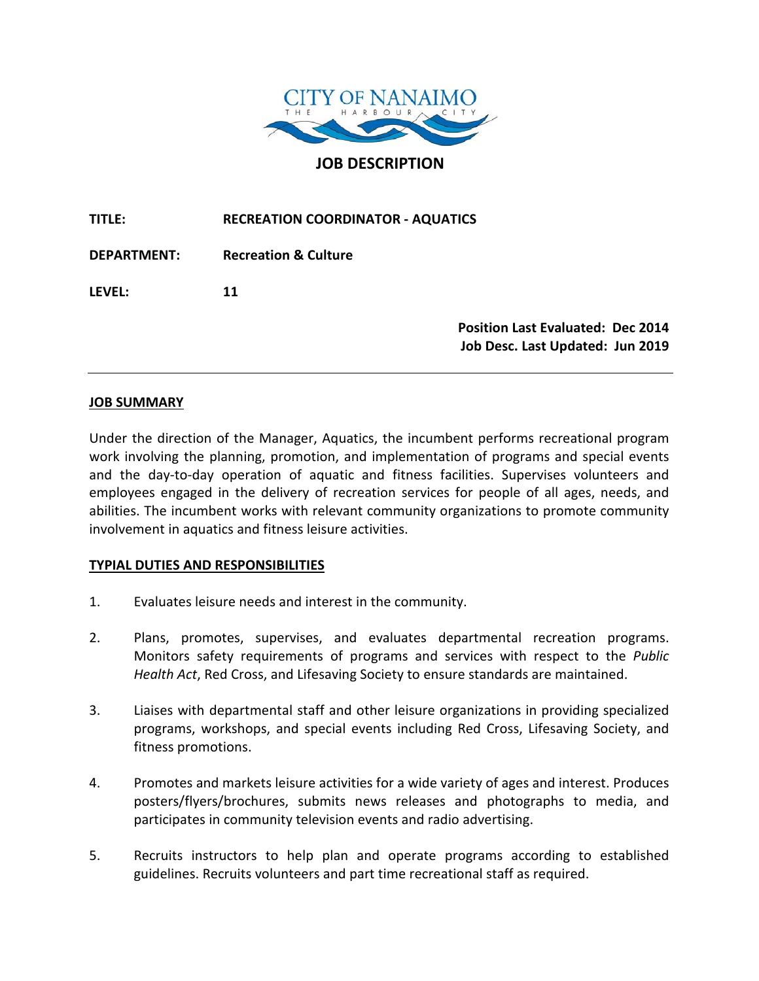

**JOB DESCRIPTION**

**TITLE: RECREATION COORDINATOR - AQUATICS DEPARTMENT: Recreation & Culture LEVEL: 11 Position Last Evaluated: Dec 2014 Job Desc. Last Updated: Jun 2019**

### **JOB SUMMARY**

Under the direction of the Manager, Aquatics, the incumbent performs recreational program work involving the planning, promotion, and implementation of programs and special events and the day-to-day operation of aquatic and fitness facilities. Supervises volunteers and employees engaged in the delivery of recreation services for people of all ages, needs, and abilities. The incumbent works with relevant community organizations to promote community involvement in aquatics and fitness leisure activities.

#### **TYPIAL DUTIES AND RESPONSIBILITIES**

- 1. Evaluates leisure needs and interest in the community.
- 2. Plans, promotes, supervises, and evaluates departmental recreation programs. Monitors safety requirements of programs and services with respect to the *Public Health Act*, Red Cross, and Lifesaving Society to ensure standards are maintained.
- 3. Liaises with departmental staff and other leisure organizations in providing specialized programs, workshops, and special events including Red Cross, Lifesaving Society, and fitness promotions.
- 4. Promotes and markets leisure activities for a wide variety of ages and interest. Produces posters/flyers/brochures, submits news releases and photographs to media, and participates in community television events and radio advertising.
- 5. Recruits instructors to help plan and operate programs according to established guidelines. Recruits volunteers and part time recreational staff as required.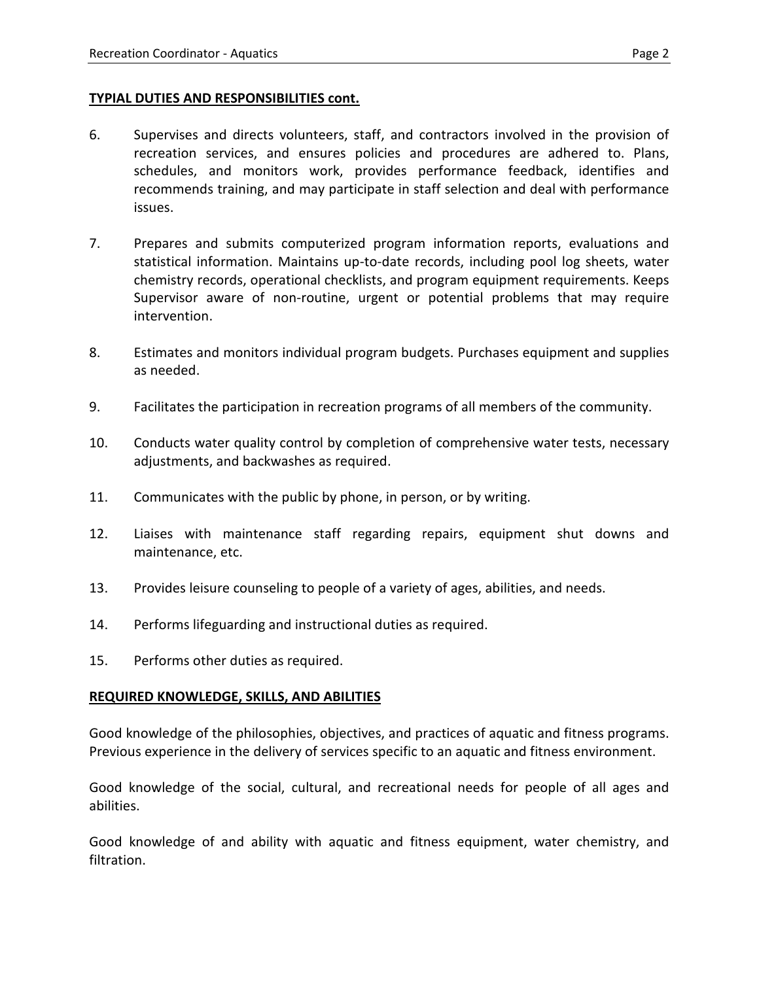# **TYPIAL DUTIES AND RESPONSIBILITIES cont.**

- 6. Supervises and directs volunteers, staff, and contractors involved in the provision of recreation services, and ensures policies and procedures are adhered to. Plans, schedules, and monitors work, provides performance feedback, identifies and recommends training, and may participate in staff selection and deal with performance issues.
- 7. Prepares and submits computerized program information reports, evaluations and statistical information. Maintains up-to-date records, including pool log sheets, water chemistry records, operational checklists, and program equipment requirements. Keeps Supervisor aware of non-routine, urgent or potential problems that may require intervention.
- 8. Estimates and monitors individual program budgets. Purchases equipment and supplies as needed.
- 9. Facilitates the participation in recreation programs of all members of the community.
- 10. Conducts water quality control by completion of comprehensive water tests, necessary adjustments, and backwashes as required.
- 11. Communicates with the public by phone, in person, or by writing.
- 12. Liaises with maintenance staff regarding repairs, equipment shut downs and maintenance, etc.
- 13. Provides leisure counseling to people of a variety of ages, abilities, and needs.
- 14. Performs lifeguarding and instructional duties as required.
- 15. Performs other duties as required.

# **REQUIRED KNOWLEDGE, SKILLS, AND ABILITIES**

Good knowledge of the philosophies, objectives, and practices of aquatic and fitness programs. Previous experience in the delivery of services specific to an aquatic and fitness environment.

Good knowledge of the social, cultural, and recreational needs for people of all ages and abilities.

Good knowledge of and ability with aquatic and fitness equipment, water chemistry, and filtration.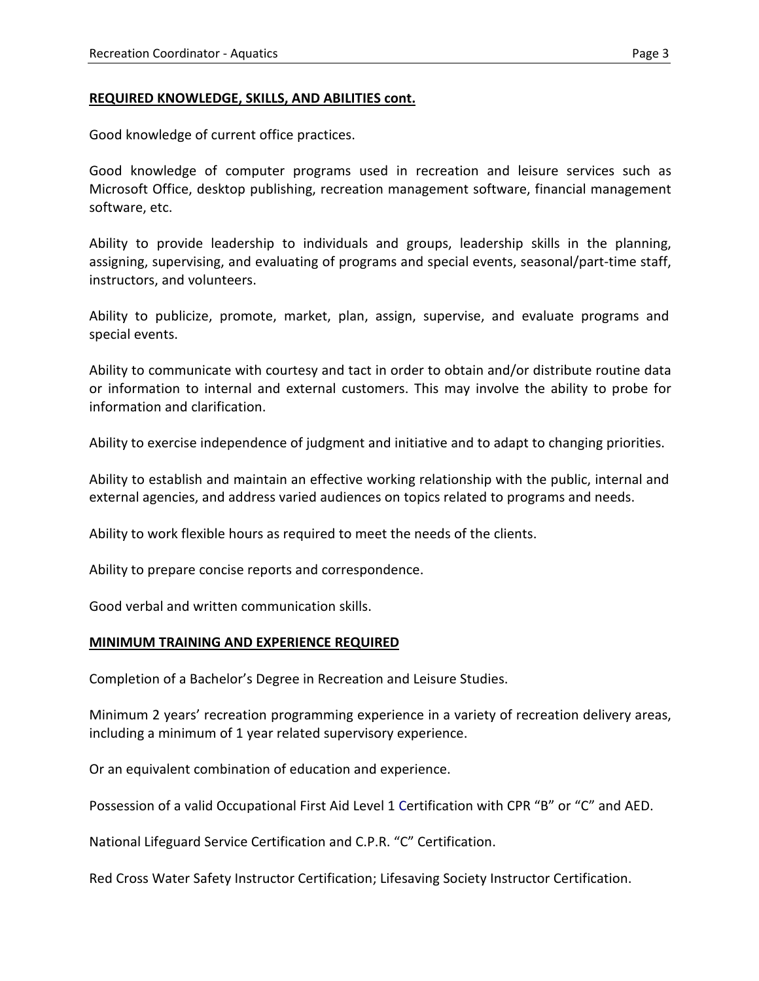#### **REQUIRED KNOWLEDGE, SKILLS, AND ABILITIES cont.**

Good knowledge of current office practices.

Good knowledge of computer programs used in recreation and leisure services such as Microsoft Office, desktop publishing, recreation management software, financial management software, etc.

Ability to provide leadership to individuals and groups, leadership skills in the planning, assigning, supervising, and evaluating of programs and special events, seasonal/part-time staff, instructors, and volunteers.

Ability to publicize, promote, market, plan, assign, supervise, and evaluate programs and special events.

Ability to communicate with courtesy and tact in order to obtain and/or distribute routine data or information to internal and external customers. This may involve the ability to probe for information and clarification.

Ability to exercise independence of judgment and initiative and to adapt to changing priorities.

Ability to establish and maintain an effective working relationship with the public, internal and external agencies, and address varied audiences on topics related to programs and needs.

Ability to work flexible hours as required to meet the needs of the clients.

Ability to prepare concise reports and correspondence.

Good verbal and written communication skills.

#### **MINIMUM TRAINING AND EXPERIENCE REQUIRED**

Completion of a Bachelor's Degree in Recreation and Leisure Studies.

Minimum 2 years' recreation programming experience in a variety of recreation delivery areas, including a minimum of 1 year related supervisory experience.

Or an equivalent combination of education and experience.

Possession of a valid Occupational First Aid Level 1 Certification with CPR "B" or "C" and AED.

National Lifeguard Service Certification and C.P.R. "C" Certification.

Red Cross Water Safety Instructor Certification; Lifesaving Society Instructor Certification.